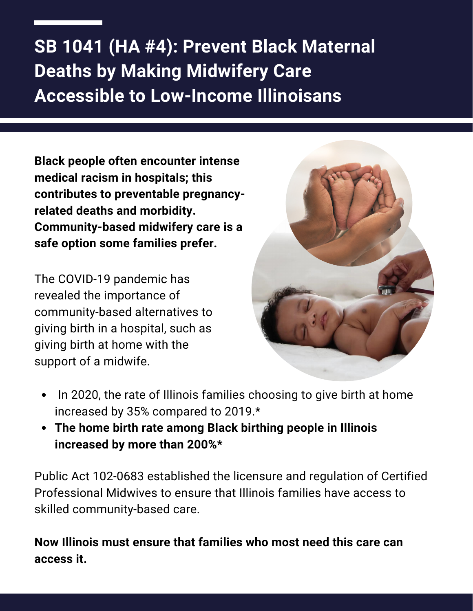## **SB 1041 (HA #4): Prevent Black Maternal Deaths by Making Midwifery Care Accessible to Low-Income Illinoisans**

**Black people often encounter intense medical racism in hospitals; this contributes to preventable pregnancyrelated deaths and morbidity. Community-based midwifery care is a safe option some families prefer.**

The COVID-19 pandemic has revealed the importance of community-based alternatives to giving birth in a hospital, such as giving birth at home with the support of a midwife.



- In 2020, the rate of Illinois families choosing to give birth at home increased by 35% compared to 2019.\*
- **The home birth rate among Black birthing people in Illinois increased by more than 200%\***

Public Act 102-0683 established the licensure and regulation of Certified Professional Midwives to ensure that Illinois families have access to skilled community-based care.

**Now Illinois must ensure that families who most need this care can access it.**